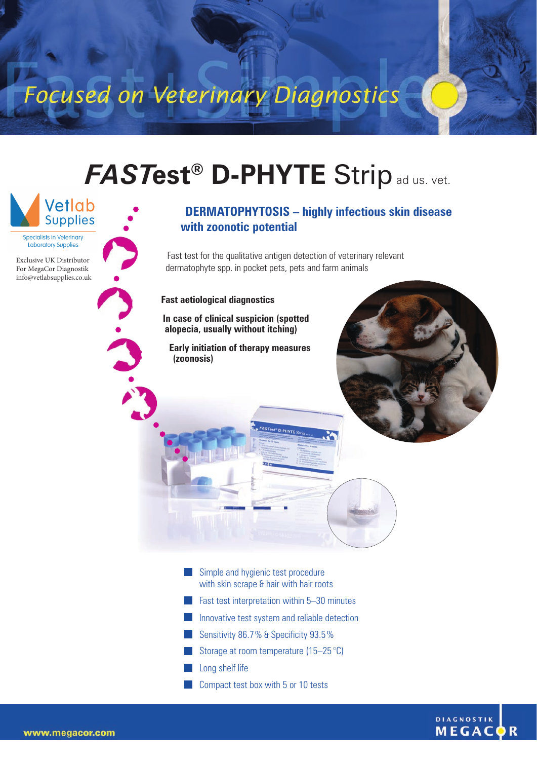Focused on Veterinary Diagnostics

## *FAST***est® D-PHYTE** Stripad us. vet.

Specialists in Veterinary **I** aboratory Supplies

Exclusive UK Distributor For MegaCor Diagnostik [info@vetlabsupplies.co.uk](mailto info@vetlabsupplies.co.uk)



 $\ddot{\textbf{c}}$ 

## **DERMATOPHYTOSIS – highly infectious skin disease with zoonotic potential**

Fast test for the qualitative antigen detection of veterinary relevant dermatophyte spp. in pocket pets, pets and farm animals

FASTest<sup>®</sup> D-PHYTE

**Fast aetiological diagnostics** 

**In case of clinical suspicion (spotted alopecia, usually without itching)**

**Early initiation of therapy measures (zoonosis)**



- Simple and hygienic test procedure with skin scrape & hair with hair roots
- **Fast test interpretation within 5–30 minutes**
- T) Innovative test system and reliable detection
- Sensitivity 86.7% & Specificity 93.5%
- Storage at room temperature (15–25 °C)
- Long shelf life
- Compact test box with 5 or 10 tests